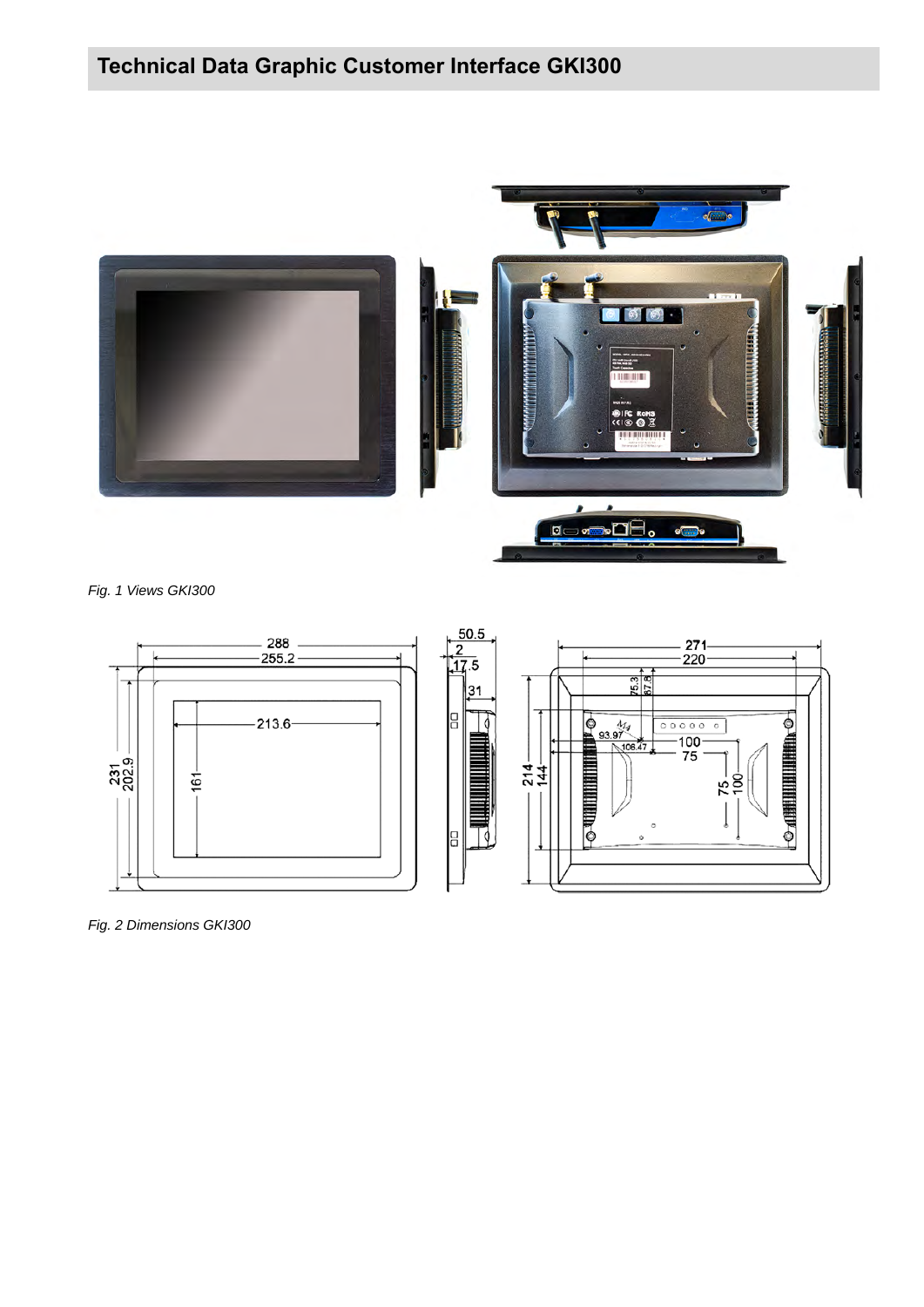# **Technical Data Graphic Customer Interface GKI300**



*Fig. 1 Views GKI300*



*Fig. 2 Dimensions GKI300*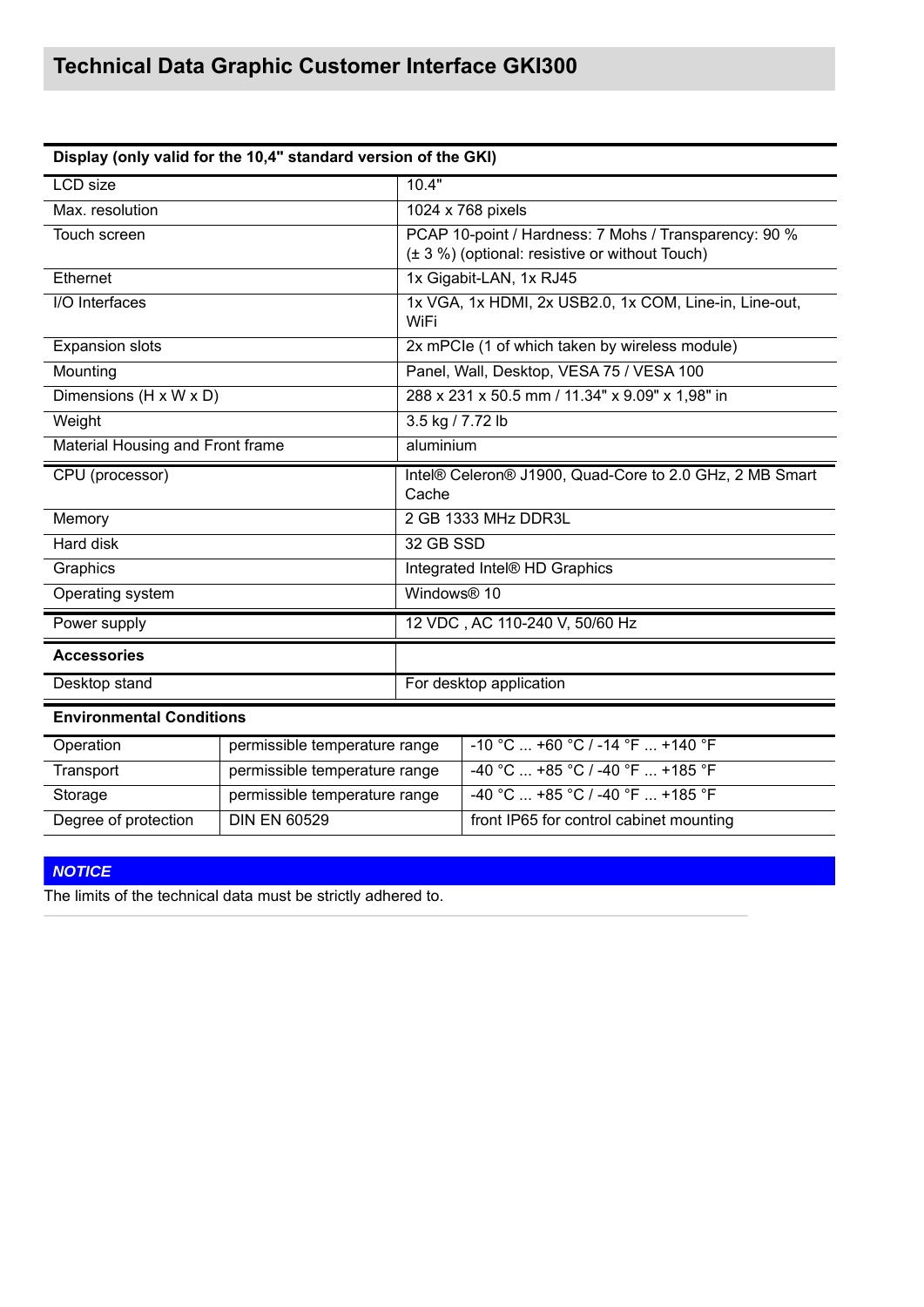| Display (only valid for the 10,4" standard version of the GKI) |                               |                                                                                                         |                                         |  |  |
|----------------------------------------------------------------|-------------------------------|---------------------------------------------------------------------------------------------------------|-----------------------------------------|--|--|
| <b>LCD</b> size                                                |                               | 10.4"                                                                                                   |                                         |  |  |
| Max. resolution                                                |                               |                                                                                                         | 1024 x 768 pixels                       |  |  |
| Touch screen                                                   |                               | PCAP 10-point / Hardness: 7 Mohs / Transparency: 90 %<br>(± 3 %) (optional: resistive or without Touch) |                                         |  |  |
| Ethernet                                                       |                               | 1x Gigabit-LAN, 1x RJ45                                                                                 |                                         |  |  |
| I/O Interfaces                                                 |                               | 1x VGA, 1x HDMI, 2x USB2.0, 1x COM, Line-in, Line-out,<br>WiFi                                          |                                         |  |  |
| <b>Expansion slots</b>                                         |                               | 2x mPCle (1 of which taken by wireless module)                                                          |                                         |  |  |
| Mounting                                                       |                               | Panel, Wall, Desktop, VESA 75 / VESA 100                                                                |                                         |  |  |
| Dimensions (H x W x D)                                         |                               | 288 x 231 x 50.5 mm / 11.34" x 9.09" x 1,98" in                                                         |                                         |  |  |
| Weight                                                         |                               | 3.5 kg / 7.72 lb                                                                                        |                                         |  |  |
| Material Housing and Front frame                               |                               | aluminium                                                                                               |                                         |  |  |
| CPU (processor)                                                |                               | Intel® Celeron® J1900, Quad-Core to 2.0 GHz, 2 MB Smart<br>Cache                                        |                                         |  |  |
| Memory                                                         |                               | 2 GB 1333 MHz DDR3L                                                                                     |                                         |  |  |
| <b>Hard disk</b>                                               |                               | 32 GB SSD                                                                                               |                                         |  |  |
| Graphics                                                       |                               | Integrated Intel® HD Graphics                                                                           |                                         |  |  |
| Operating system                                               |                               | Windows <sup>®</sup> 10                                                                                 |                                         |  |  |
| Power supply                                                   |                               | 12 VDC, AC 110-240 V, 50/60 Hz                                                                          |                                         |  |  |
| <b>Accessories</b>                                             |                               |                                                                                                         |                                         |  |  |
| Desktop stand                                                  |                               | For desktop application                                                                                 |                                         |  |  |
| <b>Environmental Conditions</b>                                |                               |                                                                                                         |                                         |  |  |
| Operation                                                      | permissible temperature range |                                                                                                         | -10 °C  +60 °C / -14 °F  +140 °F        |  |  |
| Transport                                                      | permissible temperature range |                                                                                                         | -40 °C  +85 °C / -40 °F  +185 °F        |  |  |
| Storage                                                        | permissible temperature range |                                                                                                         | -40 °C  +85 °C / -40 °F  +185 °F        |  |  |
| Degree of protection                                           | <b>DIN EN 60529</b>           |                                                                                                         | front IP65 for control cabinet mounting |  |  |

# *NOTICE*

The limits of the technical data must be strictly adhered to.